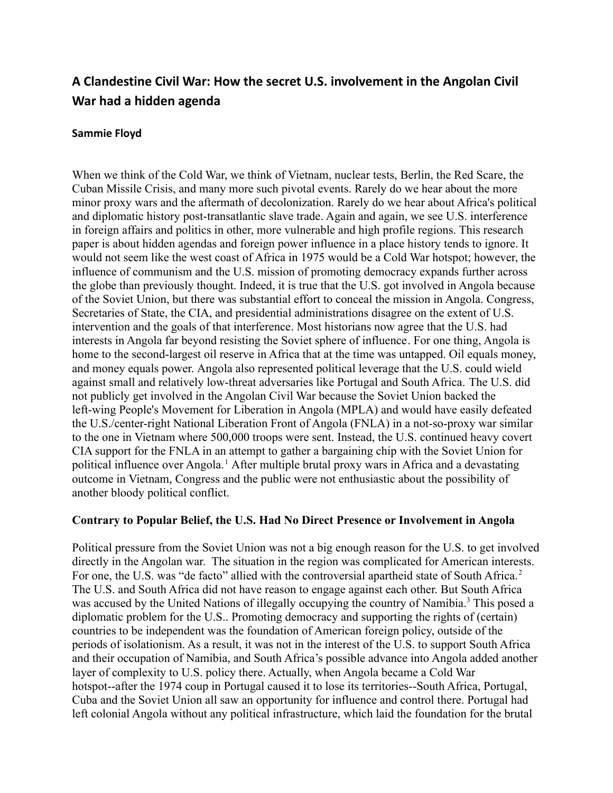# **A Clandestine Civil War: How the secret U.S. involvement in the Angolan Civil War had a hidden agenda**

# **Sammie Floyd**

When we think of the Cold War, we think of Vietnam, nuclear tests, Berlin, the Red Scare, the Cuban Missile Crisis, and many more such pivotal events. Rarely do we hear about the more minor proxy wars and the aftermath of decolonization. Rarely do we hear about Africa's political and diplomatic history post-transatlantic slave trade. Again and again, we see U.S. interference in foreign affairs and politics in other, more vulnerable and high profile regions. This research paper is about hidden agendas and foreign power influence in a place history tends to ignore. It would not seem like the west coast of Africa in 1975 would be a Cold War hotspot; however, the influence of communism and the U.S. mission of promoting democracy expands further across the globe than previously thought. Indeed, it is true that the U.S. got involved in Angola because of the Soviet Union, but there was substantial effort to conceal the mission in Angola. Congress, Secretaries of State, the CIA, and presidential administrations disagree on the extent of U.S. intervention and the goals of that interference. Most historians now agree that the U.S. had interests in Angola far beyond resisting the Soviet sphere of influence. For one thing, Angola is home to the second-largest oil reserve in Africa that at the time was untapped. Oil equals money, and money equals power. Angola also represented political leverage that the U.S. could wield against small and relatively low-threat adversaries like Portugal and South Africa. The U.S. did not publicly get involved in the Angolan Civil War because the Soviet Union backed the left-wing People's Movement for Liberation in Angola (MPLA) and would have easily defeated the U.S./center-right National Liberation Front of Angola (FNLA) in a not-so-proxy war similar to the one in Vietnam where 500,000 troops were sent. Instead, the U.S. continued heavy covert CIA support for the FNLA in an attempt to gather a bargaining chip with the Soviet Union for political influence over Angola.<sup>1</sup> After multiple brutal proxy wars in Africa and a devastating outcome in Vietnam, Congress and the public were not enthusiastic about the possibility of another bloody political conflict.

# **Contrary to Popular Belief, the U.S. Had No Direct Presence or Involvement in Angola**

Political pressure from the Soviet Union was not a big enough reason for the U.S. to get involved directly in the Angolan war. The situation in the region was complicated for American interests. For one, the U.S. was "de facto" allied with the controversial apartheid state of South Africa.<sup>2</sup> The U.S. and South Africa did not have reason to engage against each other. But South Africa was accused by the United Nations of illegally occupying the country of Namibia.<sup>3</sup> This posed a diplomatic problem for the U.S.. Promoting democracy and supporting the rights of (certain) countries to be independent was the foundation of American foreign policy, outside of the periods of isolationism. As a result, it was not in the interest of the U.S. to support South Africa and their occupation of Namibia, and South Africa's possible advance into Angola added another layer of complexity to U.S. policy there. Actually, when Angola became a Cold War hotspot--after the 1974 coup in Portugal caused it to lose its territories--South Africa, Portugal, Cuba and the Soviet Union all saw an opportunity for influence and control there. Portugal had left colonial Angola without any political infrastructure, which laid the foundation for the brutal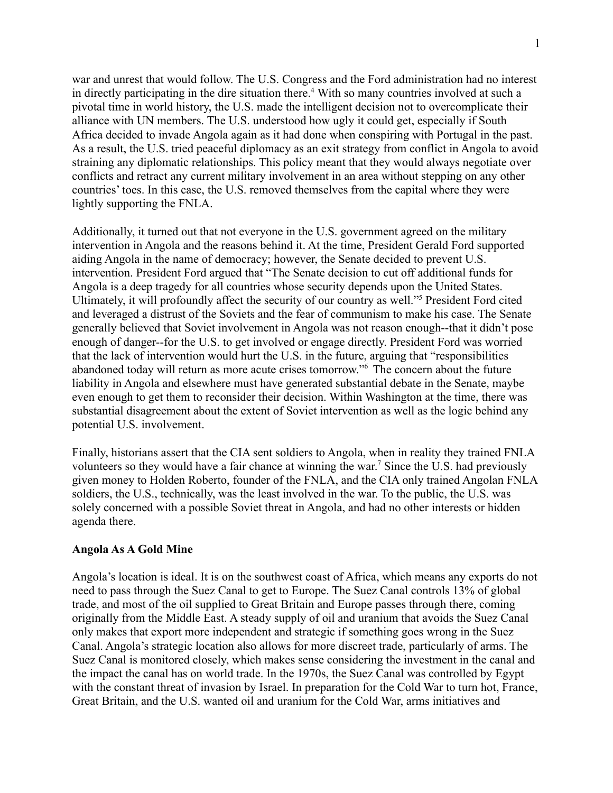war and unrest that would follow. The U.S. Congress and the Ford administration had no interest in directly participating in the dire situation there.<sup>4</sup> With so many countries involved at such a pivotal time in world history, the U.S. made the intelligent decision not to overcomplicate their alliance with UN members. The U.S. understood how ugly it could get, especially if South Africa decided to invade Angola again as it had done when conspiring with Portugal in the past. As a result, the U.S. tried peaceful diplomacy as an exit strategy from conflict in Angola to avoid straining any diplomatic relationships. This policy meant that they would always negotiate over conflicts and retract any current military involvement in an area without stepping on any other countries' toes. In this case, the U.S. removed themselves from the capital where they were lightly supporting the FNLA.

Additionally, it turned out that not everyone in the U.S. government agreed on the military intervention in Angola and the reasons behind it. At the time, President Gerald Ford supported aiding Angola in the name of democracy; however, the Senate decided to prevent U.S. intervention. President Ford argued that "The Senate decision to cut off additional funds for Angola is a deep tragedy for all countries whose security depends upon the United States. Ultimately, it will profoundly affect the security of our country as well."<sup>5</sup> President Ford cited and leveraged a distrust of the Soviets and the fear of communism to make his case. The Senate generally believed that Soviet involvement in Angola was not reason enough--that it didn't pose enough of danger--for the U.S. to get involved or engage directly. President Ford was worried that the lack of intervention would hurt the U.S. in the future, arguing that "responsibilities abandoned today will return as more acute crises tomorrow."<sup>6</sup> The concern about the future liability in Angola and elsewhere must have generated substantial debate in the Senate, maybe even enough to get them to reconsider their decision. Within Washington at the time, there was substantial disagreement about the extent of Soviet intervention as well as the logic behind any potential U.S. involvement.

Finally, historians assert that the CIA sent soldiers to Angola, when in reality they trained FNLA volunteers so they would have a fair chance at winning the war. <sup>7</sup> Since the U.S. had previously given money to Holden Roberto, founder of the FNLA, and the CIA only trained Angolan FNLA soldiers, the U.S., technically, was the least involved in the war. To the public, the U.S. was solely concerned with a possible Soviet threat in Angola, and had no other interests or hidden agenda there.

## **Angola As A Gold Mine**

Angola's location is ideal. It is on the southwest coast of Africa, which means any exports do not need to pass through the Suez Canal to get to Europe. The Suez Canal controls 13% of global trade, and most of the oil supplied to Great Britain and Europe passes through there, coming originally from the Middle East. A steady supply of oil and uranium that avoids the Suez Canal only makes that export more independent and strategic if something goes wrong in the Suez Canal. Angola's strategic location also allows for more discreet trade, particularly of arms. The Suez Canal is monitored closely, which makes sense considering the investment in the canal and the impact the canal has on world trade. In the 1970s, the Suez Canal was controlled by Egypt with the constant threat of invasion by Israel. In preparation for the Cold War to turn hot, France, Great Britain, and the U.S. wanted oil and uranium for the Cold War, arms initiatives and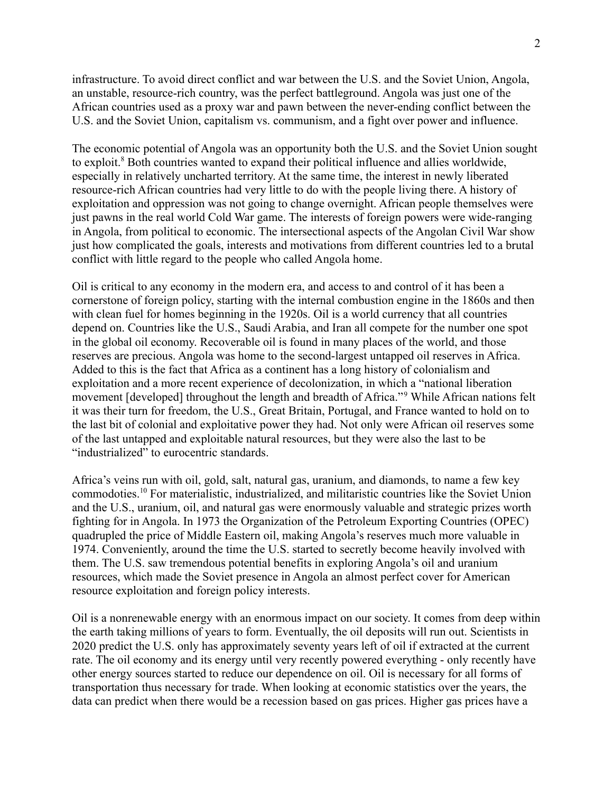infrastructure. To avoid direct conflict and war between the U.S. and the Soviet Union, Angola, an unstable, resource-rich country, was the perfect battleground. Angola was just one of the African countries used as a proxy war and pawn between the never-ending conflict between the U.S. and the Soviet Union, capitalism vs. communism, and a fight over power and influence.

The economic potential of Angola was an opportunity both the U.S. and the Soviet Union sought to exploit.<sup>8</sup> Both countries wanted to expand their political influence and allies worldwide, especially in relatively uncharted territory. At the same time, the interest in newly liberated resource-rich African countries had very little to do with the people living there. A history of exploitation and oppression was not going to change overnight. African people themselves were just pawns in the real world Cold War game. The interests of foreign powers were wide-ranging in Angola, from political to economic. The intersectional aspects of the Angolan Civil War show just how complicated the goals, interests and motivations from different countries led to a brutal conflict with little regard to the people who called Angola home.

Oil is critical to any economy in the modern era, and access to and control of it has been a cornerstone of foreign policy, starting with the internal combustion engine in the 1860s and then with clean fuel for homes beginning in the 1920s. Oil is a world currency that all countries depend on. Countries like the U.S., Saudi Arabia, and Iran all compete for the number one spot in the global oil economy. Recoverable oil is found in many places of the world, and those reserves are precious. Angola was home to the second-largest untapped oil reserves in Africa. Added to this is the fact that Africa as a continent has a long history of colonialism and exploitation and a more recent experience of decolonization, in which a "national liberation movement [developed] throughout the length and breadth of Africa."<sup>9</sup> While African nations felt it was their turn for freedom, the U.S., Great Britain, Portugal, and France wanted to hold on to the last bit of colonial and exploitative power they had. Not only were African oil reserves some of the last untapped and exploitable natural resources, but they were also the last to be "industrialized" to eurocentric standards.

Africa's veins run with oil, gold, salt, natural gas, uranium, and diamonds, to name a few key commodoties.<sup>10</sup> For materialistic, industrialized, and militaristic countries like the Soviet Union and the U.S., uranium, oil, and natural gas were enormously valuable and strategic prizes worth fighting for in Angola. In 1973 the Organization of the Petroleum Exporting Countries (OPEC) quadrupled the price of Middle Eastern oil, making Angola's reserves much more valuable in 1974. Conveniently, around the time the U.S. started to secretly become heavily involved with them. The U.S. saw tremendous potential benefits in exploring Angola's oil and uranium resources, which made the Soviet presence in Angola an almost perfect cover for American resource exploitation and foreign policy interests.

Oil is a nonrenewable energy with an enormous impact on our society. It comes from deep within the earth taking millions of years to form. Eventually, the oil deposits will run out. Scientists in 2020 predict the U.S. only has approximately seventy years left of oil if extracted at the current rate. The oil economy and its energy until very recently powered everything - only recently have other energy sources started to reduce our dependence on oil. Oil is necessary for all forms of transportation thus necessary for trade. When looking at economic statistics over the years, the data can predict when there would be a recession based on gas prices. Higher gas prices have a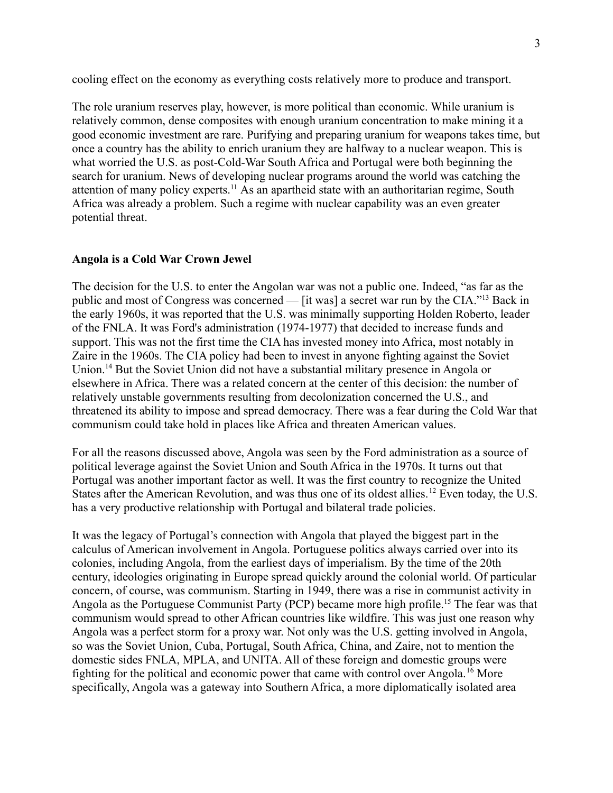cooling effect on the economy as everything costs relatively more to produce and transport.

The role uranium reserves play, however, is more political than economic. While uranium is relatively common, dense composites with enough uranium concentration to make mining it a good economic investment are rare. Purifying and preparing uranium for weapons takes time, but once a country has the ability to enrich uranium they are halfway to a nuclear weapon. This is what worried the U.S. as post-Cold-War South Africa and Portugal were both beginning the search for uranium. News of developing nuclear programs around the world was catching the attention of many policy experts.<sup>11</sup> As an apartheid state with an authoritarian regime, South Africa was already a problem. Such a regime with nuclear capability was an even greater potential threat.

# **Angola is a Cold War Crown Jewel**

The decision for the U.S. to enter the Angolan war was not a public one. Indeed, "as far as the public and most of Congress was concerned — [it was] a secret war run by the CIA."<sup>13</sup> Back in the early 1960s, it was reported that the U.S. was minimally supporting Holden Roberto, leader of the FNLA. It was Ford's administration (1974-1977) that decided to increase funds and support. This was not the first time the CIA has invested money into Africa, most notably in Zaire in the 1960s. The CIA policy had been to invest in anyone fighting against the Soviet Union.<sup>14</sup> But the Soviet Union did not have a substantial military presence in Angola or elsewhere in Africa. There was a related concern at the center of this decision: the number of relatively unstable governments resulting from decolonization concerned the U.S., and threatened its ability to impose and spread democracy. There was a fear during the Cold War that communism could take hold in places like Africa and threaten American values.

For all the reasons discussed above, Angola was seen by the Ford administration as a source of political leverage against the Soviet Union and South Africa in the 1970s. It turns out that Portugal was another important factor as well. It was the first country to recognize the United States after the American Revolution, and was thus one of its oldest allies. <sup>12</sup> Even today, the U.S. has a very productive relationship with Portugal and bilateral trade policies.

It was the legacy of Portugal's connection with Angola that played the biggest part in the calculus of American involvement in Angola. Portuguese politics always carried over into its colonies, including Angola, from the earliest days of imperialism. By the time of the 20th century, ideologies originating in Europe spread quickly around the colonial world. Of particular concern, of course, was communism. Starting in 1949, there was a rise in communist activity in Angola as the Portuguese Communist Party (PCP) became more high profile.<sup>15</sup> The fear was that communism would spread to other African countries like wildfire. This was just one reason why Angola was a perfect storm for a proxy war. Not only was the U.S. getting involved in Angola, so was the Soviet Union, Cuba, Portugal, South Africa, China, and Zaire, not to mention the domestic sides FNLA, MPLA, and UNITA. All of these foreign and domestic groups were fighting for the political and economic power that came with control over Angola.<sup>16</sup> More specifically, Angola was a gateway into Southern Africa, a more diplomatically isolated area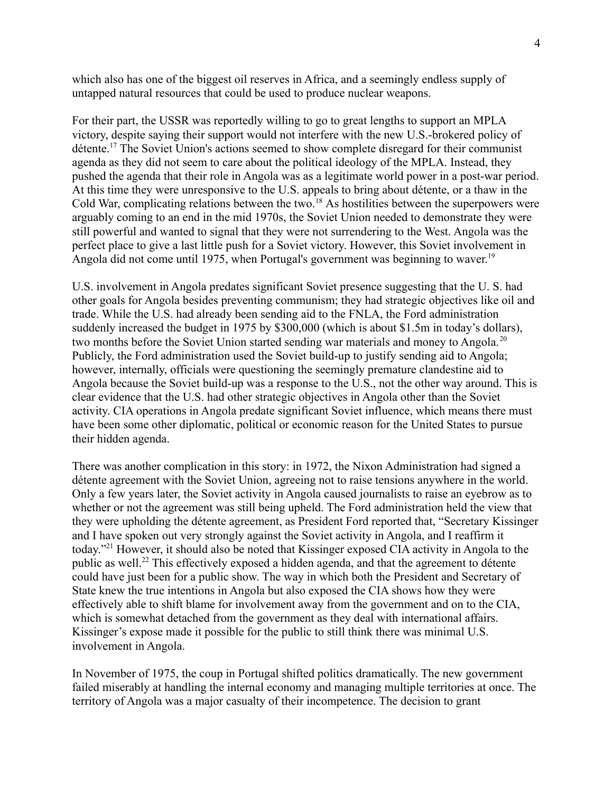which also has one of the biggest oil reserves in Africa, and a seemingly endless supply of untapped natural resources that could be used to produce nuclear weapons.

For their part, the USSR was reportedly willing to go to great lengths to support an MPLA victory, despite saying their support would not interfere with the new U.S.-brokered policy of détente.<sup>17</sup> The Soviet Union's actions seemed to show complete disregard for their communist agenda as they did not seem to care about the political ideology of the MPLA. Instead, they pushed the agenda that their role in Angola was as a legitimate world power in a post-war period. At this time they were unresponsive to the U.S. appeals to bring about détente, or a thaw in the Cold War, complicating relations between the two.<sup>18</sup> As hostilities between the superpowers were arguably coming to an end in the mid 1970s, the Soviet Union needed to demonstrate they were still powerful and wanted to signal that they were not surrendering to the West. Angola was the perfect place to give a last little push for a Soviet victory. However, this Soviet involvement in Angola did not come until 1975, when Portugal's government was beginning to waver.<sup>19</sup>

U.S. involvement in Angola predates significant Soviet presence suggesting that the U. S. had other goals for Angola besides preventing communism; they had strategic objectives like oil and trade. While the U.S. had already been sending aid to the FNLA, the Ford administration suddenly increased the budget in 1975 by \$300,000 (which is about \$1.5m in today's dollars), two months before the Soviet Union started sending war materials and money to Angola.<sup>20</sup> Publicly, the Ford administration used the Soviet build-up to justify sending aid to Angola; however, internally, officials were questioning the seemingly premature clandestine aid to Angola because the Soviet build-up was a response to the U.S., not the other way around. This is clear evidence that the U.S. had other strategic objectives in Angola other than the Soviet activity. CIA operations in Angola predate significant Soviet influence, which means there must have been some other diplomatic, political or economic reason for the United States to pursue their hidden agenda.

There was another complication in this story: in 1972, the Nixon Administration had signed a détente agreement with the Soviet Union, agreeing not to raise tensions anywhere in the world. Only a few years later, the Soviet activity in Angola caused journalists to raise an eyebrow as to whether or not the agreement was still being upheld. The Ford administration held the view that they were upholding the détente agreement, as President Ford reported that, "Secretary Kissinger and I have spoken out very strongly against the Soviet activity in Angola, and I reaffirm it today."<sup>21</sup> However, it should also be noted that Kissinger exposed CIA activity in Angola to the public as well.<sup>22</sup> This effectively exposed a hidden agenda, and that the agreement to détente could have just been for a public show. The way in which both the President and Secretary of State knew the true intentions in Angola but also exposed the CIA shows how they were effectively able to shift blame for involvement away from the government and on to the CIA, which is somewhat detached from the government as they deal with international affairs. Kissinger's expose made it possible for the public to still think there was minimal U.S. involvement in Angola.

In November of 1975, the coup in Portugal shifted politics dramatically. The new government failed miserably at handling the internal economy and managing multiple territories at once. The territory of Angola was a major casualty of their incompetence. The decision to grant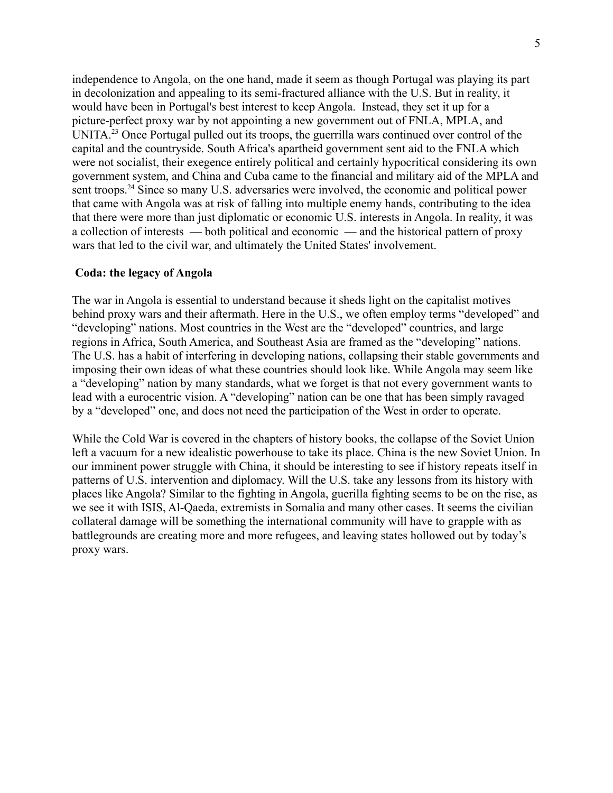independence to Angola, on the one hand, made it seem as though Portugal was playing its part in decolonization and appealing to its semi-fractured alliance with the U.S. But in reality, it would have been in Portugal's best interest to keep Angola. Instead, they set it up for a picture-perfect proxy war by not appointing a new government out of FNLA, MPLA, and UNITA<sup>23</sup> Once Portugal pulled out its troops, the guerrilla wars continued over control of the capital and the countryside. South Africa's apartheid government sent aid to the FNLA which were not socialist, their exegence entirely political and certainly hypocritical considering its own government system, and China and Cuba came to the financial and military aid of the MPLA and sent troops.<sup>24</sup> Since so many U.S. adversaries were involved, the economic and political power that came with Angola was at risk of falling into multiple enemy hands, contributing to the idea that there were more than just diplomatic or economic U.S. interests in Angola. In reality, it was a collection of interests — both political and economic — and the historical pattern of proxy wars that led to the civil war, and ultimately the United States' involvement.

#### **Coda: the legacy of Angola**

The war in Angola is essential to understand because it sheds light on the capitalist motives behind proxy wars and their aftermath. Here in the U.S., we often employ terms "developed" and "developing" nations. Most countries in the West are the "developed" countries, and large regions in Africa, South America, and Southeast Asia are framed as the "developing" nations. The U.S. has a habit of interfering in developing nations, collapsing their stable governments and imposing their own ideas of what these countries should look like. While Angola may seem like a "developing" nation by many standards, what we forget is that not every government wants to lead with a eurocentric vision. A "developing" nation can be one that has been simply ravaged by a "developed" one, and does not need the participation of the West in order to operate.

While the Cold War is covered in the chapters of history books, the collapse of the Soviet Union left a vacuum for a new idealistic powerhouse to take its place. China is the new Soviet Union. In our imminent power struggle with China, it should be interesting to see if history repeats itself in patterns of U.S. intervention and diplomacy. Will the U.S. take any lessons from its history with places like Angola? Similar to the fighting in Angola, guerilla fighting seems to be on the rise, as we see it with ISIS, Al-Qaeda, extremists in Somalia and many other cases. It seems the civilian collateral damage will be something the international community will have to grapple with as battlegrounds are creating more and more refugees, and leaving states hollowed out by today's proxy wars.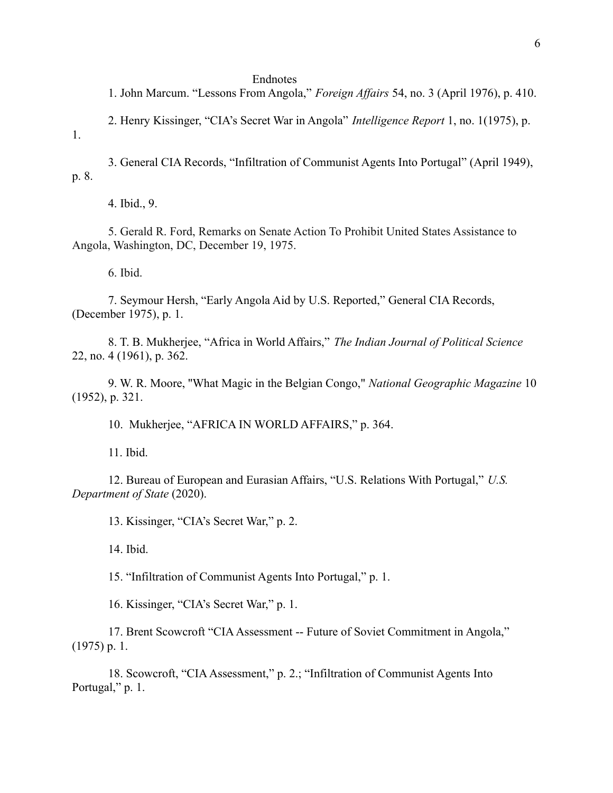#### Endnotes

1. John Marcum. "Lessons From Angola," *Foreign Affairs* 54, no. 3 (April 1976), p. 410.

2. Henry Kissinger, "CIA's Secret War in Angola" *Intelligence Report* 1, no. 1(1975), p.

1.

3. General CIA Records, "Infiltration of Communist Agents Into Portugal" (April 1949), p. 8.

4. Ibid., 9.

5. Gerald R. Ford, Remarks on Senate Action To Prohibit United States Assistance to Angola, Washington, DC, December 19, 1975.

6. Ibid.

7. Seymour Hersh, "Early Angola Aid by U.S. Reported," General CIA Records, (December 1975), p. 1.

8. T. B. Mukherjee, "Africa in World Affairs," *The Indian Journal of Political Science* 22, no. 4 (1961), p. 362.

9. W. R. Moore, ''What Magic in the Belgian Congo," *National Geographic Magazine* 10 (1952), p. 321.

10. Mukherjee, "AFRICA IN WORLD AFFAIRS," p. 364.

11. Ibid.

12. Bureau of European and Eurasian Affairs, "U.S. Relations With Portugal," *U.S. Department of State* (2020).

13. Kissinger, "CIA's Secret War," p. 2.

14. Ibid.

15. "Infiltration of Communist Agents Into Portugal," p. 1.

16. Kissinger, "CIA's Secret War," p. 1.

17. Brent Scowcroft "CIA Assessment -- Future of Soviet Commitment in Angola," (1975) p. 1.

18. Scowcroft, "CIA Assessment," p. 2.; "Infiltration of Communist Agents Into Portugal," p. 1.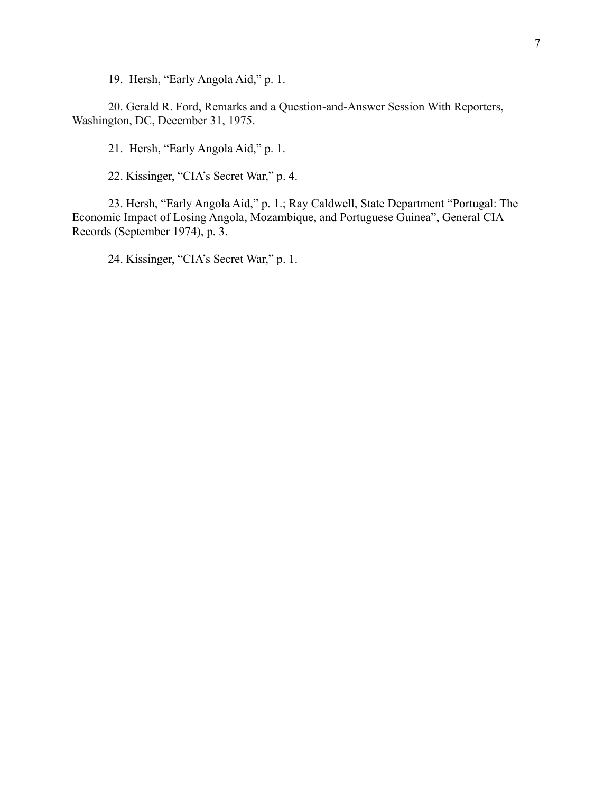19. Hersh, "Early Angola Aid," p. 1.

20. Gerald R. Ford, Remarks and a Question-and-Answer Session With Reporters, Washington, DC, December 31, 1975.

21. Hersh, "Early Angola Aid," p. 1.

22. Kissinger, "CIA's Secret War," p. 4.

23. Hersh, "Early Angola Aid," p. 1.; Ray Caldwell, State Department "Portugal: The Economic Impact of Losing Angola, Mozambique, and Portuguese Guinea", General CIA Records (September 1974), p. 3.

24. Kissinger, "CIA's Secret War," p. 1.